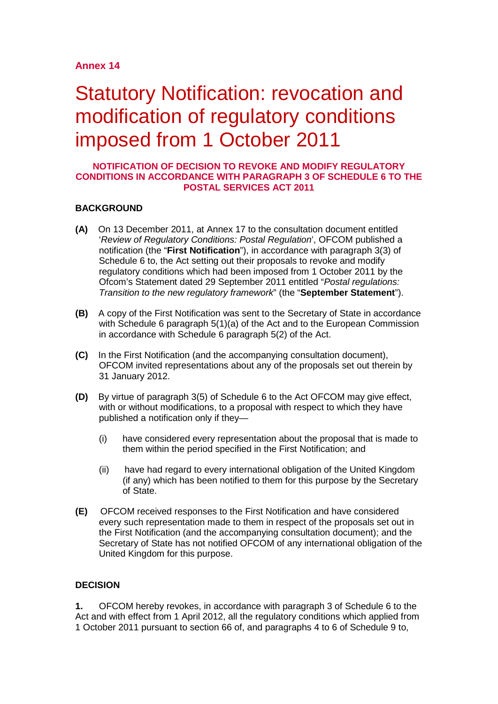## **Annex 14**

# Statutory Notification: revocation and modification of regulatory conditions imposed from 1 October 2011

#### **NOTIFICATION OF DECISION TO REVOKE AND MODIFY REGULATORY CONDITIONS IN ACCORDANCE WITH PARAGRAPH 3 OF SCHEDULE 6 TO THE POSTAL SERVICES ACT 2011**

#### **BACKGROUND**

- **(A)** On 13 December 2011, at Annex 17 to the consultation document entitled '*Review of Regulatory Conditions: Postal Regulation*', OFCOM published a notification (the "**First Notification**"), in accordance with paragraph 3(3) of Schedule 6 to, the Act setting out their proposals to revoke and modify regulatory conditions which had been imposed from 1 October 2011 by the Ofcom's Statement dated 29 September 2011 entitled "*Postal regulations: Transition to the new regulatory framework*" (the "**September Statement**").
- **(B)** A copy of the First Notification was sent to the Secretary of State in accordance with Schedule 6 paragraph 5(1)(a) of the Act and to the European Commission in accordance with Schedule 6 paragraph 5(2) of the Act.
- **(C)** In the First Notification (and the accompanying consultation document), OFCOM invited representations about any of the proposals set out therein by 31 January 2012.
- **(D)** By virtue of paragraph 3(5) of Schedule 6 to the Act OFCOM may give effect, with or without modifications, to a proposal with respect to which they have published a notification only if they—
	- (i) have considered every representation about the proposal that is made to them within the period specified in the First Notification; and
	- (ii) have had regard to every international obligation of the United Kingdom (if any) which has been notified to them for this purpose by the Secretary of State.
- **(E)** OFCOM received responses to the First Notification and have considered every such representation made to them in respect of the proposals set out in the First Notification (and the accompanying consultation document); and the Secretary of State has not notified OFCOM of any international obligation of the United Kingdom for this purpose.

#### **DECISION**

**1.** OFCOM hereby revokes, in accordance with paragraph 3 of Schedule 6 to the Act and with effect from 1 April 2012, all the regulatory conditions which applied from 1 October 2011 pursuant to section 66 of, and paragraphs 4 to 6 of Schedule 9 to,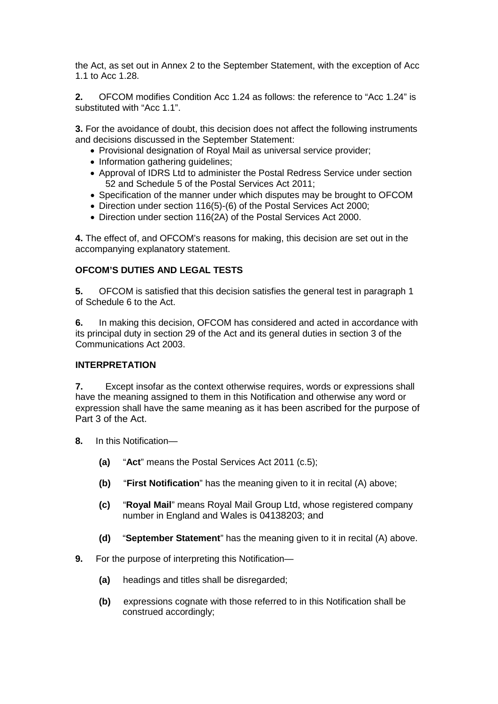the Act, as set out in Annex 2 to the September Statement, with the exception of Acc 1.1 to Acc 1.28.

**2.** OFCOM modifies Condition Acc 1.24 as follows: the reference to "Acc 1.24" is substituted with "Acc 1.1".

**3.** For the avoidance of doubt, this decision does not affect the following instruments and decisions discussed in the September Statement:

- Provisional designation of Royal Mail as universal service provider;
- Information gathering quidelines;
- Approval of IDRS Ltd to administer the Postal Redress Service under section 52 and Schedule 5 of the Postal Services Act 2011;
- Specification of the manner under which disputes may be brought to OFCOM
- Direction under section 116(5)-(6) of the Postal Services Act 2000;
- Direction under section 116(2A) of the Postal Services Act 2000.

**4.** The effect of, and OFCOM's reasons for making, this decision are set out in the accompanying explanatory statement.

#### **OFCOM'S DUTIES AND LEGAL TESTS**

**5.** OFCOM is satisfied that this decision satisfies the general test in paragraph 1 of Schedule 6 to the Act.

**6.** In making this decision, OFCOM has considered and acted in accordance with its principal duty in section 29 of the Act and its general duties in section 3 of the Communications Act 2003.

#### **INTERPRETATION**

**7.** Except insofar as the context otherwise requires, words or expressions shall have the meaning assigned to them in this Notification and otherwise any word or expression shall have the same meaning as it has been ascribed for the purpose of Part 3 of the Act.

- **8.** In this Notification—
	- **(a)** "**Act**" means the Postal Services Act 2011 (c.5);
	- **(b)** "**First Notification**" has the meaning given to it in recital (A) above;
	- **(c)** "**Royal Mail**" means Royal Mail Group Ltd, whose registered company number in England and Wales is 04138203; and
	- **(d)** "**September Statement**" has the meaning given to it in recital (A) above.
- **9.** For the purpose of interpreting this Notification—
	- **(a)** headings and titles shall be disregarded;
	- **(b)** expressions cognate with those referred to in this Notification shall be construed accordingly;